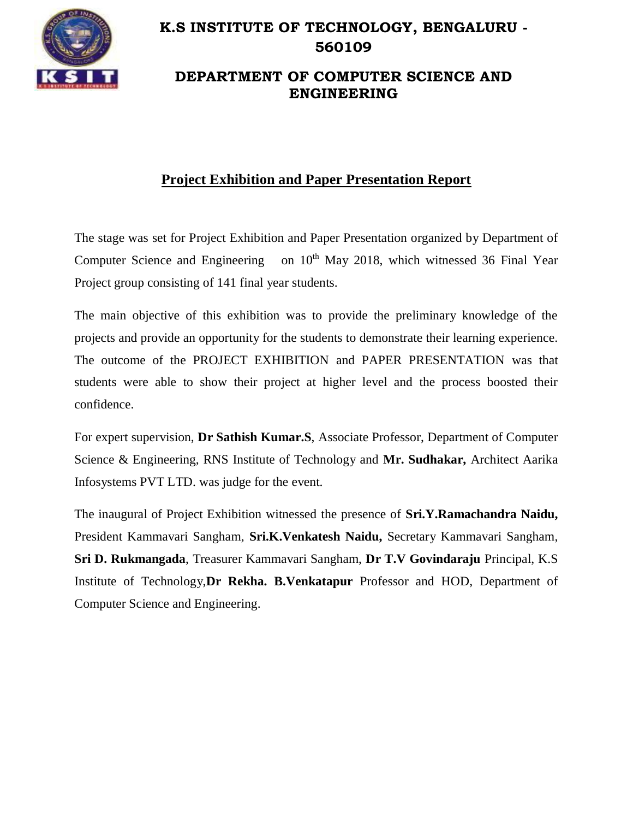

## **K.S INSTITUTE OF TECHNOLOGY, BENGALURU - 560109**

## **DEPARTMENT OF COMPUTER SCIENCE AND ENGINEERING**

## **Project Exhibition and Paper Presentation Report**

The stage was set for Project Exhibition and Paper Presentation organized by Department of Computer Science and Engineering on  $10<sup>th</sup>$  May 2018, which witnessed 36 Final Year Project group consisting of 141 final year students.

The main objective of this exhibition was to provide the preliminary knowledge of the projects and provide an opportunity for the students to demonstrate their learning experience. The outcome of the PROJECT EXHIBITION and PAPER PRESENTATION was that students were able to show their project at higher level and the process boosted their confidence.

For expert supervision, **Dr Sathish Kumar.S**, Associate Professor, Department of Computer Science & Engineering, RNS Institute of Technology and **Mr. Sudhakar,** Architect Aarika Infosystems PVT LTD. was judge for the event.

The inaugural of Project Exhibition witnessed the presence of **Sri.Y.Ramachandra Naidu,**  President Kammavari Sangham, **Sri.K.Venkatesh Naidu,** Secretary Kammavari Sangham, **Sri D. Rukmangada**, Treasurer Kammavari Sangham, **Dr T.V Govindaraju** Principal, K.S Institute of Technology,**Dr Rekha. B.Venkatapur** Professor and HOD, Department of Computer Science and Engineering.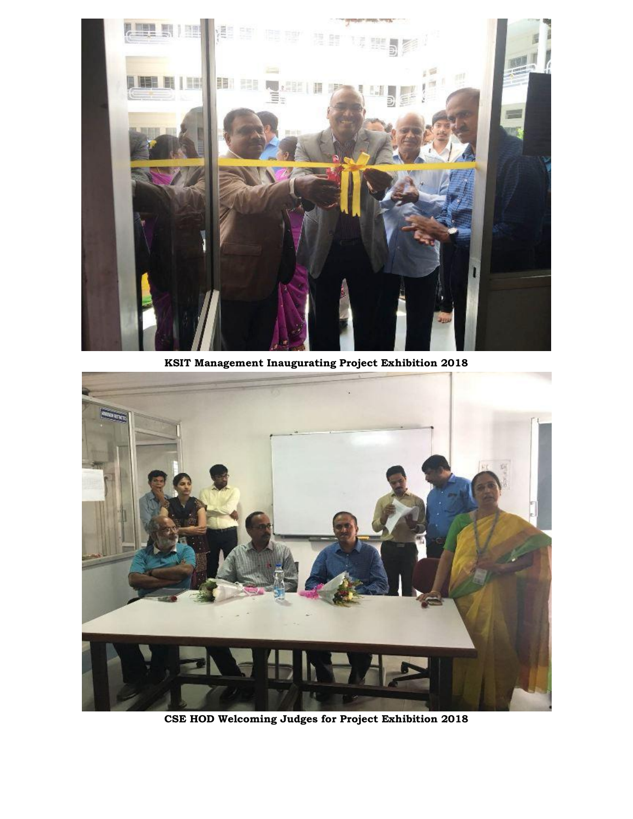

**KSIT Management Inaugurating Project Exhibition 2018**



**CSE HOD Welcoming Judges for Project Exhibition 2018**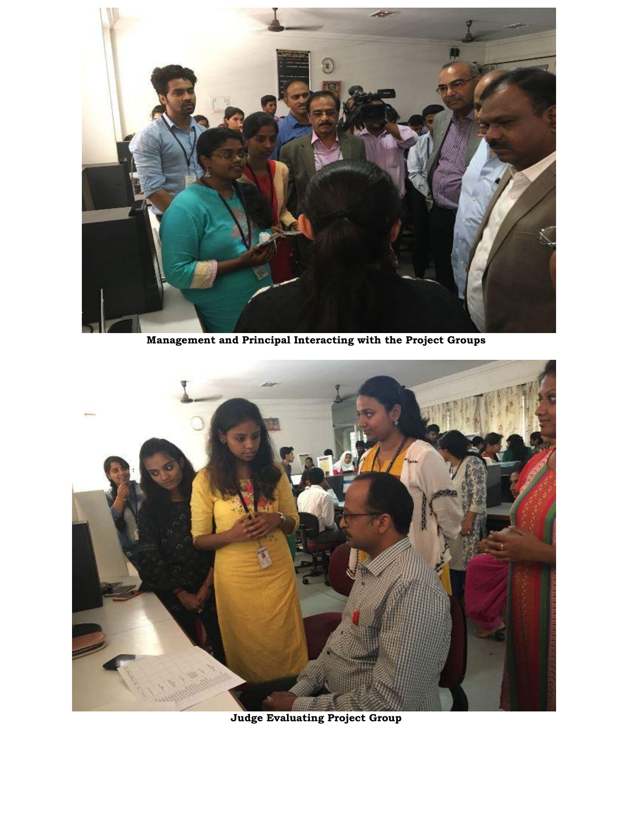

**Management and Principal Interacting with the Project Groups**



**Judge Evaluating Project Group**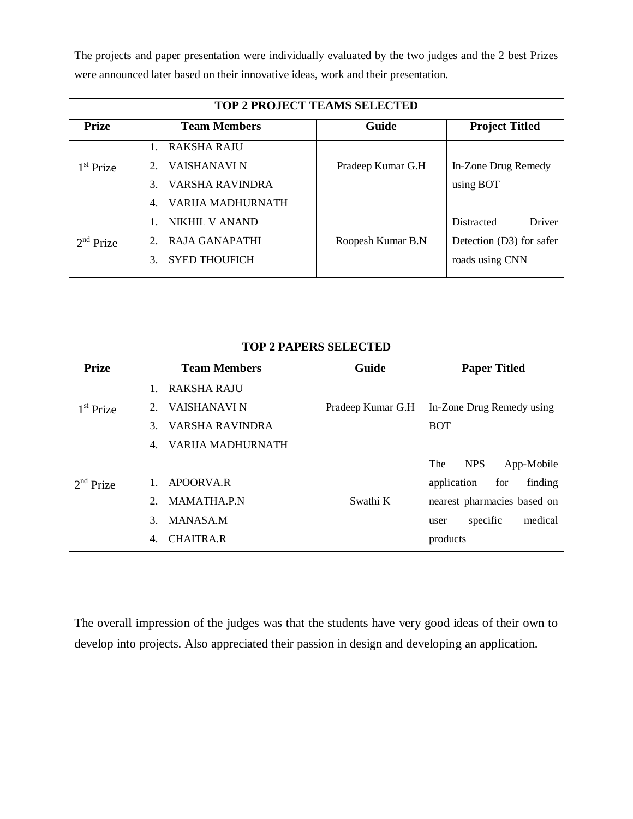The projects and paper presentation were individually evaluated by the two judges and the 2 best Prizes were announced later based on their innovative ideas, work and their presentation.

| <b>TOP 2 PROJECT TEAMS SELECTED</b> |                                |                   |                          |  |  |
|-------------------------------------|--------------------------------|-------------------|--------------------------|--|--|
| <b>Prize</b>                        | <b>Team Members</b>            | Guide             | <b>Project Titled</b>    |  |  |
|                                     | RAKSHA RAJU                    |                   |                          |  |  |
| 1 <sup>st</sup> Prize               | VAISHANAVI N                   | Pradeep Kumar G.H | In-Zone Drug Remedy      |  |  |
|                                     | VARSHA RAVINDRA                |                   | using BOT                |  |  |
|                                     | <b>VARIJA MADHURNATH</b><br>4. |                   |                          |  |  |
| $2nd$ Prize                         | NIKHIL V ANAND                 |                   | Driver<br>Distracted     |  |  |
|                                     | RAJA GANAPATHI                 | Roopesh Kumar B.N | Detection (D3) for safer |  |  |
|                                     | <b>SYED THOUFICH</b>           |                   | roads using CNN          |  |  |

| <b>TOP 2 PAPERS SELECTED</b> |                                         |                   |                                 |  |  |
|------------------------------|-----------------------------------------|-------------------|---------------------------------|--|--|
| <b>Prize</b>                 | <b>Team Members</b>                     | Guide             | <b>Paper Titled</b>             |  |  |
|                              | RAKSHA RAJU<br>$1_{-}$                  |                   |                                 |  |  |
| $1st$ Prize                  | VAISHANAVI N                            | Pradeep Kumar G.H | In-Zone Drug Remedy using       |  |  |
|                              | VARSHA RAVINDRA<br>3.                   |                   | <b>BOT</b>                      |  |  |
|                              | <b>VARIJA MADHURNATH</b><br>$4_{\cdot}$ |                   |                                 |  |  |
|                              |                                         |                   | The<br><b>NPS</b><br>App-Mobile |  |  |
| $2nd$ Prize                  | APOORVA.R                               |                   | application<br>for<br>finding   |  |  |
|                              | <b>MAMATHA.P.N</b>                      | Swathi K          | nearest pharmacies based on     |  |  |
|                              | <b>MANASA.M</b><br>$\mathcal{F}$        |                   | medical<br>specific<br>user     |  |  |
|                              | <b>CHAITRA.R</b><br>4.                  |                   | products                        |  |  |

The overall impression of the judges was that the students have very good ideas of their own to develop into projects. Also appreciated their passion in design and developing an application.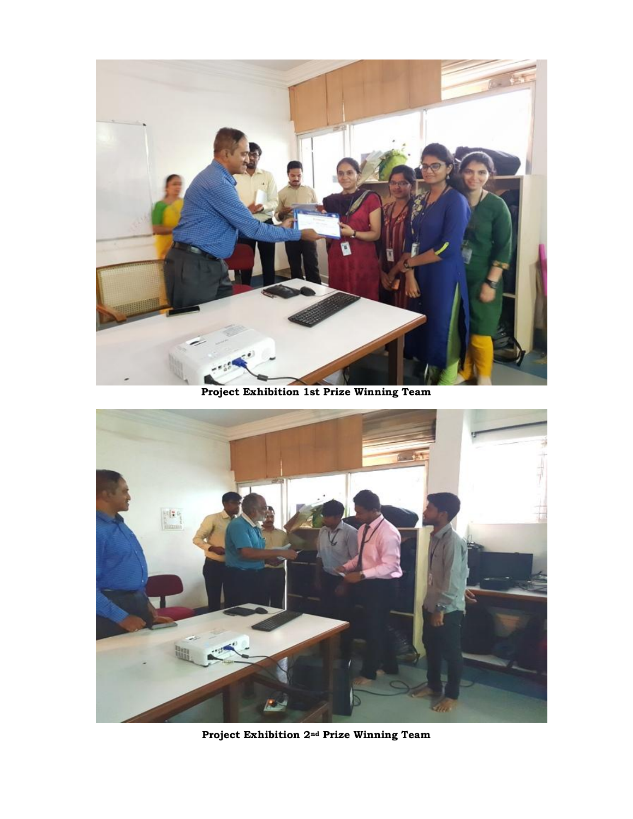

**Project Exhibition 1st Prize Winning Team**



**Project Exhibition 2nd Prize Winning Team**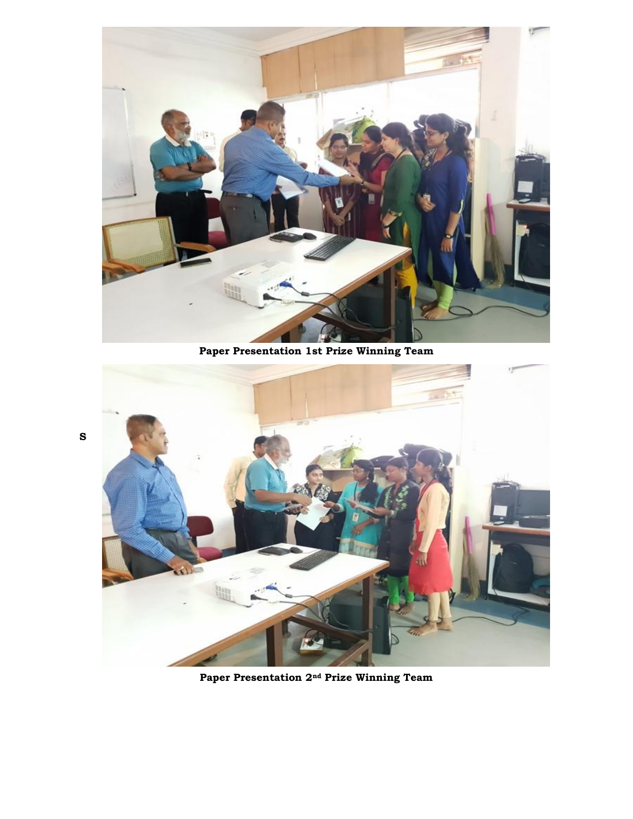

**Paper Presentation 1st Prize Winning Team**

**S**



**Paper Presentation 2nd Prize Winning Team**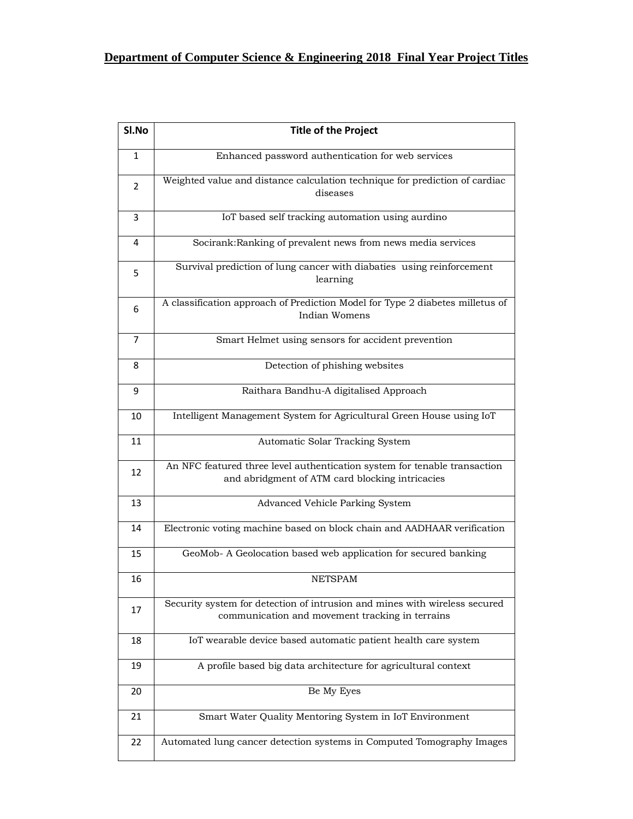## **Department of Computer Science & Engineering 2018 Final Year Project Titles**

| SI.No | <b>Title of the Project</b>                                                                                                   |
|-------|-------------------------------------------------------------------------------------------------------------------------------|
| 1     | Enhanced password authentication for web services                                                                             |
| 2     | Weighted value and distance calculation technique for prediction of cardiac<br>diseases                                       |
| 3     | IoT based self tracking automation using aurdino                                                                              |
| 4     | Socirank: Ranking of prevalent news from news media services                                                                  |
| 5     | Survival prediction of lung cancer with diabaties using reinforcement<br>learning                                             |
| 6     | A classification approach of Prediction Model for Type 2 diabetes milletus of<br>Indian Womens                                |
| 7     | Smart Helmet using sensors for accident prevention                                                                            |
| 8     | Detection of phishing websites                                                                                                |
| 9     | Raithara Bandhu-A digitalised Approach                                                                                        |
| 10    | Intelligent Management System for Agricultural Green House using IoT                                                          |
| 11    | Automatic Solar Tracking System                                                                                               |
| 12    | An NFC featured three level authentication system for tenable transaction<br>and abridgment of ATM card blocking intricacies  |
| 13    | Advanced Vehicle Parking System                                                                                               |
| 14    | Electronic voting machine based on block chain and AADHAAR verification                                                       |
| 15    | GeoMob- A Geolocation based web application for secured banking                                                               |
| 16    | <b>NETSPAM</b>                                                                                                                |
| 17    | Security system for detection of intrusion and mines with wireless secured<br>communication and movement tracking in terrains |
| 18    | IoT wearable device based automatic patient health care system                                                                |
| 19    | A profile based big data architecture for agricultural context                                                                |
| 20    | Be My Eyes                                                                                                                    |
| 21    | Smart Water Quality Mentoring System in IoT Environment                                                                       |
| 22    | Automated lung cancer detection systems in Computed Tomography Images                                                         |